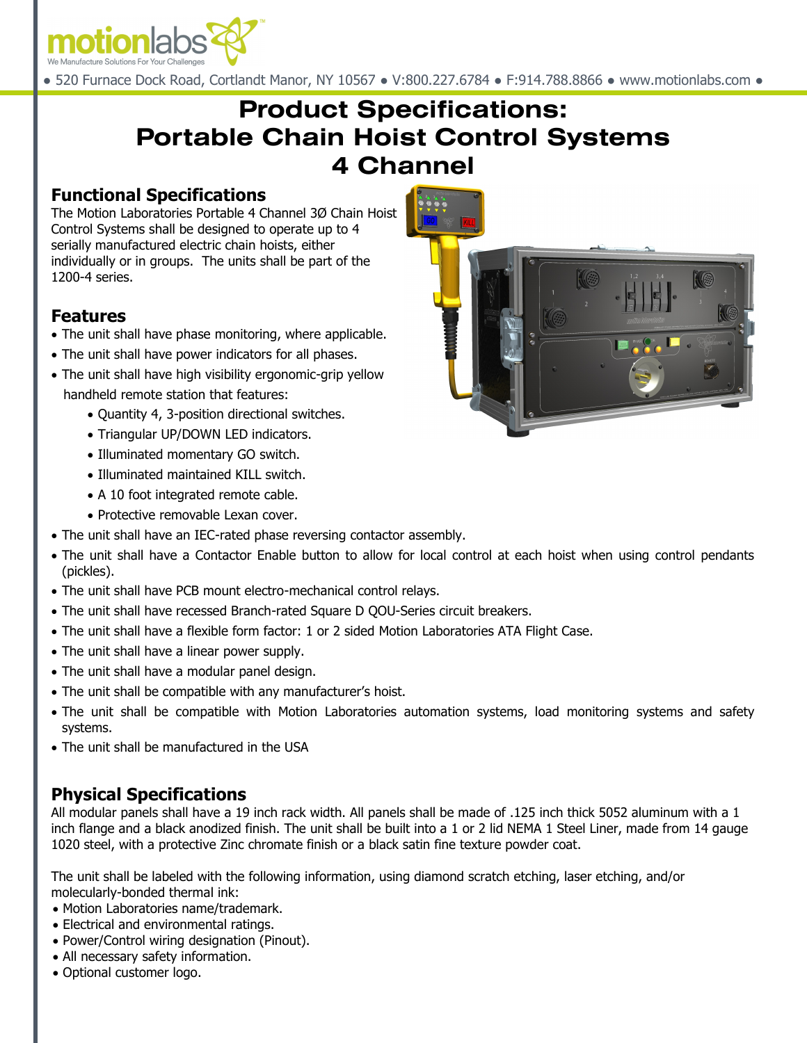

● 520 Furnace Dock Road, Cortlandt Manor, NY 10567 ● V:800.227.6784 ● F:914.788.8866 ● www.motionlabs.com ●

# **Product Specifications: Portable Chain Hoist Control Systems 4 Channel**

#### **Functional Specifications**

The Motion Laboratories Portable 4 Channel 3Ø Chain Hoist Control Systems shall be designed to operate up to 4 serially manufactured electric chain hoists, either individually or in groups. The units shall be part of the 1200-4 series.

## **Features**

- The unit shall have phase monitoring, where applicable.
- The unit shall have power indicators for all phases.
- The unit shall have high visibility ergonomic-grip yellow handheld remote station that features:
	- Quantity 4, 3-position directional switches.
	- Triangular UP/DOWN LED indicators.
	- Illuminated momentary GO switch.
	- Illuminated maintained KILL switch.
	- A 10 foot integrated remote cable.
	- Protective removable Lexan cover.
- The unit shall have an IEC-rated phase reversing contactor assembly.
- The unit shall have a Contactor Enable button to allow for local control at each hoist when using control pendants (pickles).
- The unit shall have PCB mount electro-mechanical control relays.
- The unit shall have recessed Branch-rated Square D QOU-Series circuit breakers.
- The unit shall have a flexible form factor: 1 or 2 sided Motion Laboratories ATA Flight Case.
- The unit shall have a linear power supply.
- The unit shall have a modular panel design.
- The unit shall be compatible with any manufacturer's hoist.
- The unit shall be compatible with Motion Laboratories automation systems, load monitoring systems and safety systems.
- The unit shall be manufactured in the USA

# **Physical Specifications**

All modular panels shall have a 19 inch rack width. All panels shall be made of .125 inch thick 5052 aluminum with a 1 inch flange and a black anodized finish. The unit shall be built into a 1 or 2 lid NEMA 1 Steel Liner, made from 14 gauge 1020 steel, with a protective Zinc chromate finish or a black satin fine texture powder coat.

The unit shall be labeled with the following information, using diamond scratch etching, laser etching, and/or molecularly-bonded thermal ink:

- Motion Laboratories name/trademark.
- Electrical and environmental ratings.
- Power/Control wiring designation (Pinout).
- All necessary safety information.
- Optional customer logo.